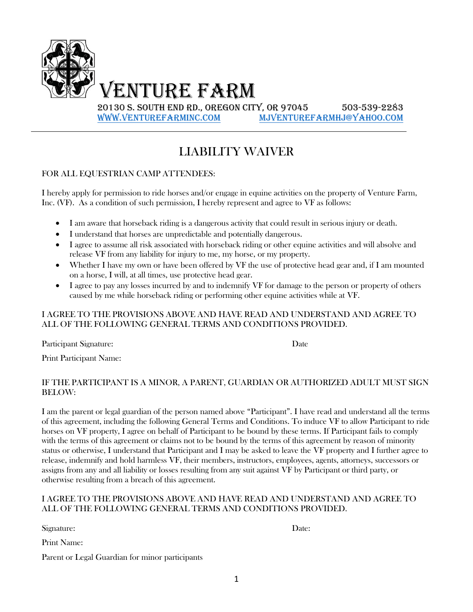

# LIABILITY WAIVER

### FOR ALL EQUESTRIAN CAMP ATTENDEES:

I hereby apply for permission to ride horses and/or engage in equine activities on the property of Venture Farm, Inc. (VF). As a condition of such permission, I hereby represent and agree to VF as follows:

- I am aware that horseback riding is a dangerous activity that could result in serious injury or death.
- I understand that horses are unpredictable and potentially dangerous.
- I agree to assume all risk associated with horseback riding or other equine activities and will absolve and release VF from any liability for injury to me, my horse, or my property.
- Whether I have my own or have been offered by VF the use of protective head gear and, if I am mounted on a horse, I will, at all times, use protective head gear.
- I agree to pay any losses incurred by and to indemnify VF for damage to the person or property of others caused by me while horseback riding or performing other equine activities while at VF.

#### I AGREE TO THE PROVISIONS ABOVE AND HAVE READ AND UNDERSTAND AND AGREE TO ALL OF THE FOLLOWING GENERAL TERMS AND CONDITIONS PROVIDED.

Participant Signature: Date

Print Participant Name:

#### IF THE PARTICIPANT IS A MINOR, A PARENT, GUARDIAN OR AUTHORIZED ADULT MUST SIGN BELOW:

I am the parent or legal guardian of the person named above "Participant". I have read and understand all the terms of this agreement, including the following General Terms and Conditions. To induce VF to allow Participant to ride horses on VF property, I agree on behalf of Participant to be bound by these terms. If Participant fails to comply with the terms of this agreement or claims not to be bound by the terms of this agreement by reason of minority status or otherwise, I understand that Participant and I may be asked to leave the VF property and I further agree to release, indemnify and hold harmless VF, their members, instructors, employees, agents, attorneys, successors or assigns from any and all liability or losses resulting from any suit against VF by Participant or third party, or otherwise resulting from a breach of this agreement.

#### I AGREE TO THE PROVISIONS ABOVE AND HAVE READ AND UNDERSTAND AND AGREE TO ALL OF THE FOLLOWING GENERAL TERMS AND CONDITIONS PROVIDED.

Signature: Date:

Print Name:

Parent or Legal Guardian for minor participants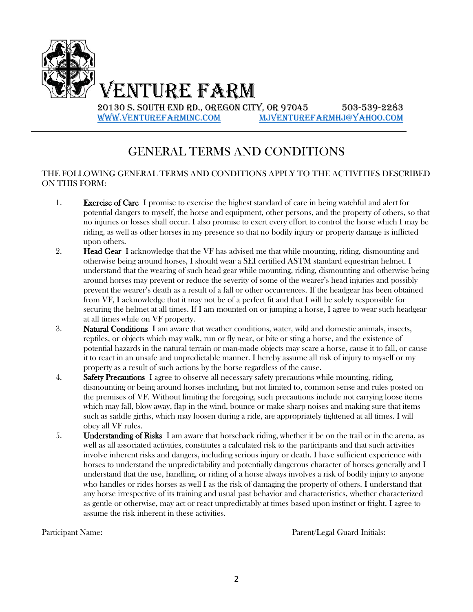

Venture Farm

20130 S. South End Rd., Oregon City, OR 97045 503-539-2283 [www.venturefarminc.com](http://www.venturefarminc.com/) [mjventurefarmhj@yahoo.com](mailto:mjventurefarmhj@yahoo.com)

## GENERAL TERMS AND CONDITIONS

#### THE FOLLOWING GENERAL TERMS AND CONDITIONS APPLY TO THE ACTIVITIES DESCRIBED ON THIS FORM:

- 1. Exercise of Care I promise to exercise the highest standard of care in being watchful and alert for potential dangers to myself, the horse and equipment, other persons, and the property of others, so that no injuries or losses shall occur. I also promise to exert every effort to control the horse which I may be riding, as well as other horses in my presence so that no bodily injury or property damage is inflicted upon others.
- 2. **Head Gear** I acknowledge that the VF has advised me that while mounting, riding, dismounting and otherwise being around horses, I should wear a SEI certified ASTM standard equestrian helmet. I understand that the wearing of such head gear while mounting, riding, dismounting and otherwise being around horses may prevent or reduce the severity of some of the wearer's head injuries and possibly prevent the wearer's death as a result of a fall or other occurrences. If the headgear has been obtained from VF, I acknowledge that it may not be of a perfect fit and that I will be solely responsible for securing the helmet at all times. If I am mounted on or jumping a horse, I agree to wear such headgear at all times while on VF property.
- 3. Natural Conditions I am aware that weather conditions, water, wild and domestic animals, insects, reptiles, or objects which may walk, run or fly near, or bite or sting a horse, and the existence of potential hazards in the natural terrain or man-made objects may scare a horse, cause it to fall, or cause it to react in an unsafe and unpredictable manner. I hereby assume all risk of injury to myself or my property as a result of such actions by the horse regardless of the cause.
- 4. Safety Precautions I agree to observe all necessary safety precautions while mounting, riding, dismounting or being around horses including, but not limited to, common sense and rules posted on the premises of VF. Without limiting the foregoing, such precautions include not carrying loose items which may fall, blow away, flap in the wind, bounce or make sharp noises and making sure that items such as saddle girths, which may loosen during a ride, are appropriately tightened at all times. I will obey all VF rules.
- 5. **Understanding of Risks** I am aware that horseback riding, whether it be on the trail or in the arena, as well as all associated activities, constitutes a calculated risk to the participants and that such activities involve inherent risks and dangers, including serious injury or death. I have sufficient experience with horses to understand the unpredictability and potentially dangerous character of horses generally and I understand that the use, handling, or riding of a horse always involves a risk of bodily injury to anyone who handles or rides horses as well I as the risk of damaging the property of others. I understand that any horse irrespective of its training and usual past behavior and characteristics, whether characterized as gentle or otherwise, may act or react unpredictably at times based upon instinct or fright. I agree to assume the risk inherent in these activities.

Participant Name: **Participant Name:** Parent/Legal Guard Initials: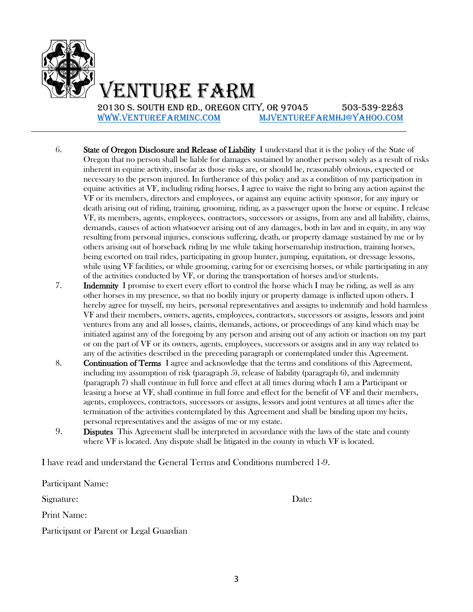

Venture Farm

20130 S. South End Rd., Oregon City, OR 97045 503-539-2283 [www.venturefarminc.com](http://www.venturefarminc.com/) [mjventurefarmhj@yahoo.com](mailto:mjventurefarmhj@yahoo.com)

- 6. State of Oregon Disclosure and Release of Liability I understand that it is the policy of the State of Oregon that no person shall be liable for damages sustained by another person solely as a result of risks inherent in equine activity, insofar as those risks are, or should be, reasonably obvious, expected or necessary to the person injured. In furtherance of this policy and as a condition of my participation in equine activities at VF, including riding horses, I agree to waive the right to bring any action against the VF or its members, directors and employees, or against any equine activity sponsor, for any injury or death arising out of riding, training, grooming, riding, as a passenger upon the horse or equine. I release VF, its members, agents, employees, contractors, successors or assigns, from any and all liability, claims, demands, causes of action whatsoever arising out of any damages, both in law and in equity, in any way resulting from personal injuries, conscious suffering, death, or property damage sustained by me or by others arising out of horseback riding by me while taking horsemanship instruction, training horses, being escorted on trail rides, participating in group hunter, jumping, equitation, or dressage lessons, while using VF facilities, or while grooming, caring for or exercising horses, or while participating in any of the activities conducted by VF, or during the transportation of horses and/or students.
- 7. Indemnity I promise to exert every effort to control the horse which I may be riding, as well as any other horses in my presence, so that no bodily injury or property damage is inflicted upon others. I hereby agree for myself, my heirs, personal representatives and assigns to indemnify and hold harmless VF and their members, owners, agents, employees, contractors, successors or assigns, lessors and joint ventures from any and all losses, claims, demands, actions, or proceedings of any kind which may be initiated against any of the foregoing by any person and arising out of any action or inaction on my part or on the part of VF or its owners, agents, employees, successors or assigns and in any way related to any of the activities described in the preceding paragraph or contemplated under this Agreement.
- 8. **Continuation of Terms** I agree and acknowledge that the terms and conditions of this Agreement, including my assumption of risk (paragraph 5), release of liability (paragraph 6), and indemnity (paragraph 7) shall continue in full force and effect at all times during which I am a Participant or leasing a horse at VF, shall continue in full force and effect for the benefit of VF and their members, agents, employees, contractors, successors or assigns, lessors and joint ventures at all times after the termination of the activities contemplated by this Agreement and shall be binding upon my heirs, personal representatives and the assigns of me or my estate.
- 9. Disputes This Agreement shall be interpreted in accordance with the laws of the state and county where VF is located. Any dispute shall be litigated in the county in which VF is located.

I have read and understand the General Terms and Conditions numbered 1-9.

Participant Name:

Signature: Date: Date: Date:

Print Name:

Participant or Parent or Legal Guardian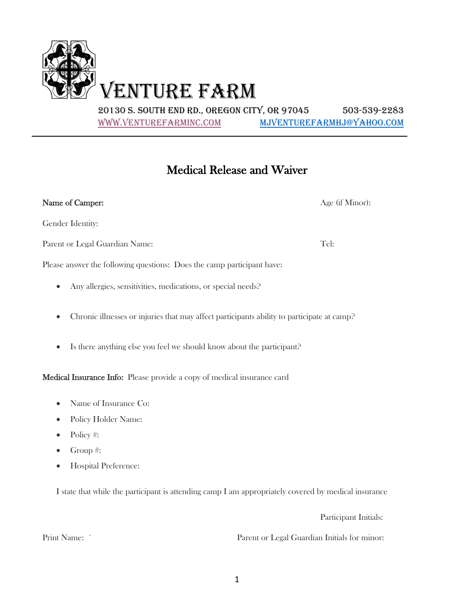

20130 S. SOUTH END RD., OREGON CITY, OR 97045 503-539-2283 WWW.VENTUREFARMINC.COM MJVENTUREFARMHJ@YAHOO.COM

## Medical Release and Waiver

| Name of Camper:                                                                                         | Age (if Minor): |
|---------------------------------------------------------------------------------------------------------|-----------------|
| Gender Identity:                                                                                        |                 |
| Parent or Legal Guardian Name:                                                                          | Tel:            |
| Please answer the following questions: Does the camp participant have:                                  |                 |
| Any allergies, sensitivities, medications, or special needs?<br>$\bullet$                               |                 |
| Chronic illnesses or injuries that may affect participants ability to participate at camp?<br>$\bullet$ |                 |
|                                                                                                         |                 |

• Is there anything else you feel we should know about the participant?

Medical Insurance Info: Please provide a copy of medical insurance card

- Name of Insurance Co:
- Policy Holder Name:
- Policy #:
- Group #:
- Hospital Preference:

I state that while the participant is attending camp I am appropriately covered by medical insurance

Participant Initials:

Print Name: ` Parent or Legal Guardian Initials for minor: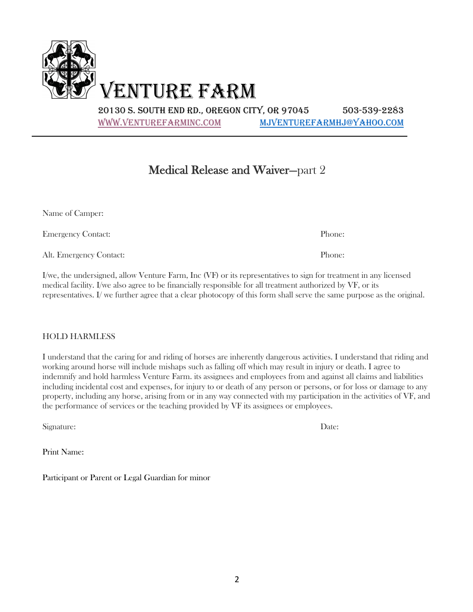VENTURE FARM

20130 S. SOUTH END RD., OREGON CITY, OR 97045 503-539-2283 WWW.VENTUREFARMINC.COM MJVENTUREFARMHJ@YAHOO.COM

### Medical Release and Waiver—part 2

| Name of Camper:                                                                                                       |        |
|-----------------------------------------------------------------------------------------------------------------------|--------|
| <b>Emergency Contact:</b>                                                                                             | Phone: |
| Alt. Emergency Contact:                                                                                               | Phone: |
| $I/we$ the undersigned allow Venture $Farm$ , $Inc$ (VF) or its representatives to sign for treatment in any licensed |        |

I/we, the undersigned, allow Venture Farm, Inc (VF) or its representatives to sign for treatment in any licensed medical facility. I/we also agree to be financially responsible for all treatment authorized by VF, or its representatives. I/ we further agree that a clear photocopy of this form shall serve the same purpose as the original.

### HOLD HARMLESS

I understand that the caring for and riding of horses are inherently dangerous activities. I understand that riding and working around horse will include mishaps such as falling off which may result in injury or death. I agree to indemnify and hold harmless Venture Farm. its assignees and employees from and against all claims and liabilities including incidental cost and expenses, for injury to or death of any person or persons, or for loss or damage to any property, including any horse, arising from or in any way connected with my participation in the activities of VF, and the performance of services or the teaching provided by VF its assignees or employees.

Signature: Date:

Print Name:

Participant or Parent or Legal Guardian for minor